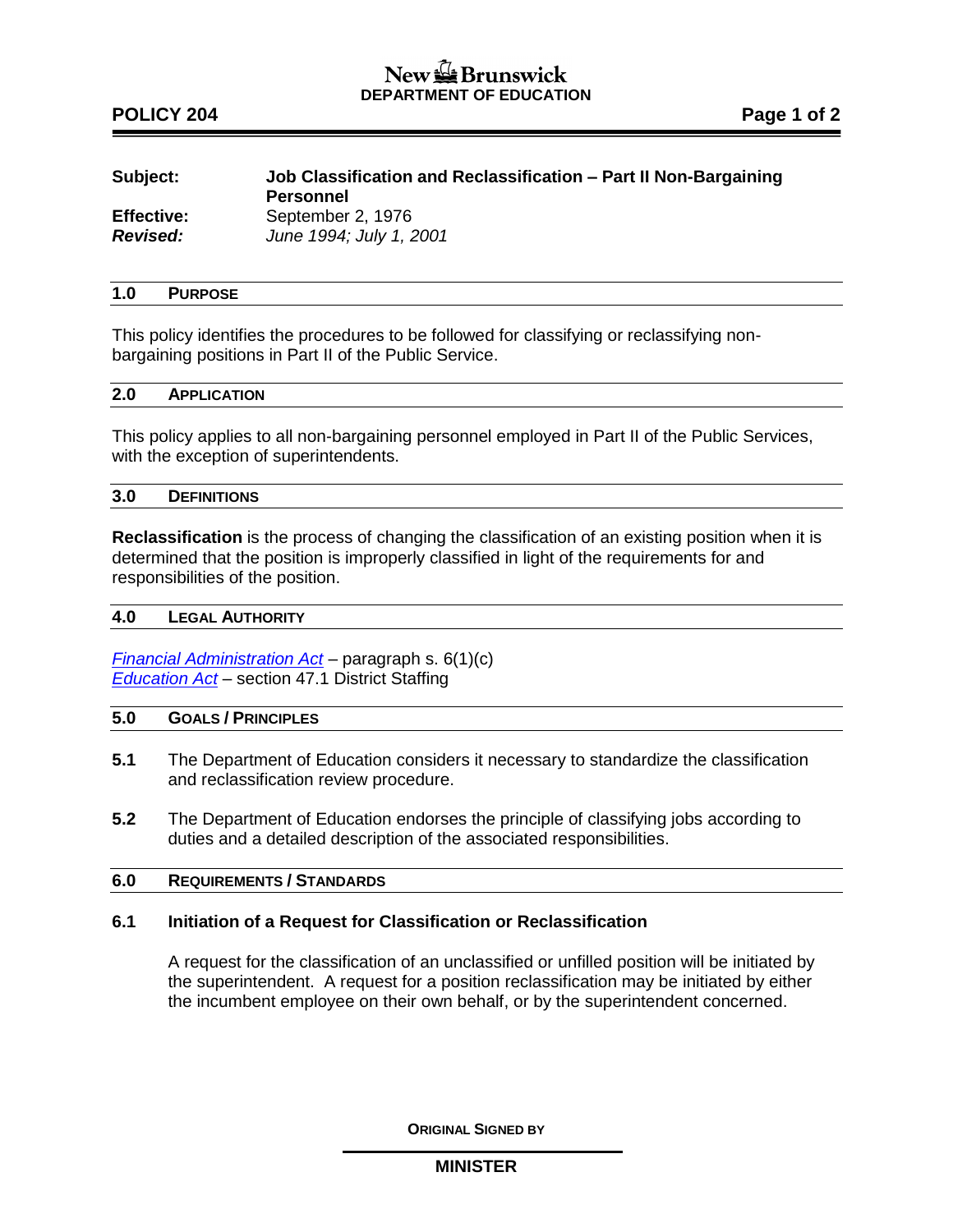# New the Brunswick **DEPARTMENT OF EDUCATION**

# **POLICY 204 Page 1 of 2**

| Subject:          | Job Classification and Reclassification – Part II Non-Bargaining<br><b>Personnel</b> |
|-------------------|--------------------------------------------------------------------------------------|
| <b>Effective:</b> | September 2, 1976                                                                    |
| <b>Revised:</b>   | June 1994; July 1, 2001                                                              |

## **1.0 PURPOSE**

This policy identifies the procedures to be followed for classifying or reclassifying nonbargaining positions in Part II of the Public Service.

#### **2.0 APPLICATION**

This policy applies to all non-bargaining personnel employed in Part II of the Public Services, with the exception of superintendents.

### **3.0 DEFINITIONS**

**Reclassification** is the process of changing the classification of an existing position when it is determined that the position is improperly classified in light of the requirements for and responsibilities of the position.

## **4.0 LEGAL AUTHORITY**

*[Financial Administration Act](http://laws.gnb.ca/en/ShowPdf/cs/2011-c.160.pdf)* – paragraph s. 6(1)(c) *[Education Act](http://laws.gnb.ca/en/ShowPdf/cs/E-1.12.pdf)* – section 47.1 District Staffing

## **5.0 GOALS / PRINCIPLES**

- **5.1** The Department of Education considers it necessary to standardize the classification and reclassification review procedure.
- **5.2** The Department of Education endorses the principle of classifying jobs according to duties and a detailed description of the associated responsibilities.

## **6.0 REQUIREMENTS / STANDARDS**

#### **6.1 Initiation of a Request for Classification or Reclassification**

A request for the classification of an unclassified or unfilled position will be initiated by the superintendent. A request for a position reclassification may be initiated by either the incumbent employee on their own behalf, or by the superintendent concerned.

**ORIGINAL SIGNED BY**

**MINISTER**